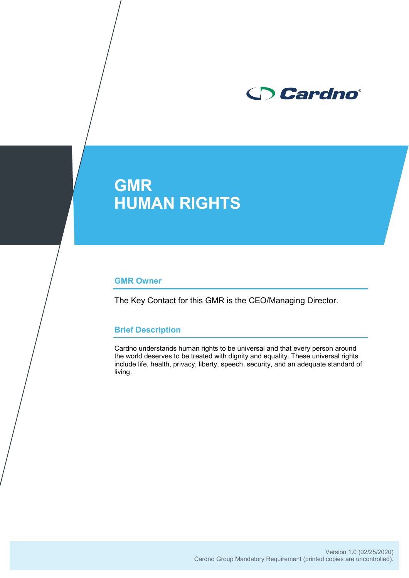

# **GMR HUMAN RIGHTS**

#### **GMR Owner**

The Key Contact for this GMR is the CEO/Managing Director.

# **Brief Description**

Cardno understands human rights to be universal and that every person around the world deserves to be treated with dignity and equality. These universal rights include life, health, privacy, liberty, speech, security, and an adequate standard of living.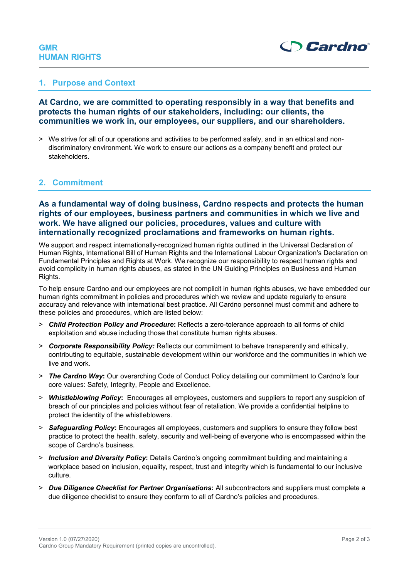# **GMR HUMAN RIGHTS**



#### **1. Purpose and Context**

**At Cardno, we are committed to operating responsibly in a way that benefits and protects the human rights of our stakeholders, including: our clients, the communities we work in, our employees, our suppliers, and our shareholders.** 

> We strive for all of our operations and activities to be performed safely, and in an ethical and nondiscriminatory environment. We work to ensure our actions as a company benefit and protect our stakeholders.

# **2. Commitment**

# **As a fundamental way of doing business, Cardno respects and protects the human rights of our employees, business partners and communities in which we live and work. We have aligned our policies, procedures, values and culture with internationally recognized proclamations and frameworks on human rights.**

We support and respect internationally-recognized human rights outlined in the Universal Declaration of Human Rights, International Bill of Human Rights and the International Labour Organization's Declaration on Fundamental Principles and Rights at Work. We recognize our responsibility to respect human rights and avoid complicity in human rights abuses, as stated in the UN Guiding Principles on Business and Human Rights.

To help ensure Cardno and our employees are not complicit in human rights abuses, we have embedded our human rights commitment in policies and procedures which we review and update regularly to ensure accuracy and relevance with international best practice. All Cardno personnel must commit and adhere to these policies and procedures, which are listed below:

- > *Child Protection Policy and Procedure***:** Reflects a zero-tolerance approach to all forms of child exploitation and abuse including those that constitute human rights abuses.
- > *Corporate Responsibility Policy:* Reflects our commitment to behave transparently and ethically, contributing to equitable, sustainable development within our workforce and the communities in which we live and work.
- > *The Cardno Way***:** Our overarching Code of Conduct Policy detailing our commitment to Cardno's four core values: Safety, Integrity, People and Excellence.
- > *Whistleblowing Policy***:** Encourages all employees, customers and suppliers to report any suspicion of breach of our principles and policies without fear of retaliation. We provide a confidential helpline to protect the identity of the whistleblowers.
- > *Safeguarding Policy***:** Encourages all employees, customers and suppliers to ensure they follow best practice to protect the health, safety, security and well-being of everyone who is encompassed within the scope of Cardno's business.
- > *Inclusion and Diversity Policy***:** Details Cardno's ongoing commitment building and maintaining a workplace based on inclusion, equality, respect, trust and integrity which is fundamental to our inclusive culture.
- > *Due Diligence Checklist for Partner Organisations***:** All subcontractors and suppliers must complete a due diligence checklist to ensure they conform to all of Cardno's policies and procedures.